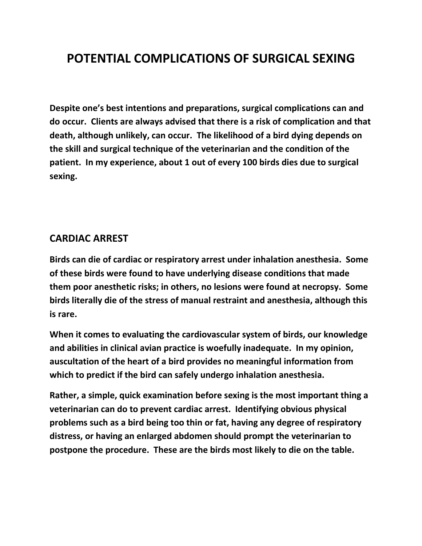# **POTENTIAL COMPLICATIONS OF SURGICAL SEXING**

**Despite one's best intentions and preparations, surgical complications can and do occur. Clients are always advised that there is a risk of complication and that death, although unlikely, can occur. The likelihood of a bird dying depends on the skill and surgical technique of the veterinarian and the condition of the patient. In my experience, about 1 out of every 100 birds dies due to surgical sexing.**

#### **CARDIAC ARREST**

**Birds can die of cardiac or respiratory arrest under inhalation anesthesia. Some of these birds were found to have underlying disease conditions that made them poor anesthetic risks; in others, no lesions were found at necropsy. Some birds literally die of the stress of manual restraint and anesthesia, although this is rare.**

**When it comes to evaluating the cardiovascular system of birds, our knowledge and abilities in clinical avian practice is woefully inadequate. In my opinion, auscultation of the heart of a bird provides no meaningful information from which to predict if the bird can safely undergo inhalation anesthesia.**

**Rather, a simple, quick examination before sexing is the most important thing a veterinarian can do to prevent cardiac arrest. Identifying obvious physical problems such as a bird being too thin or fat, having any degree of respiratory distress, or having an enlarged abdomen should prompt the veterinarian to postpone the procedure. These are the birds most likely to die on the table.**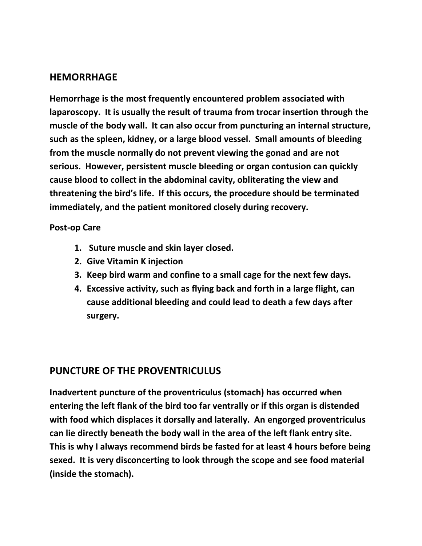### **HEMORRHAGE**

**Hemorrhage is the most frequently encountered problem associated with laparoscopy. It is usually the result of trauma from trocar insertion through the muscle of the body wall. It can also occur from puncturing an internal structure, such as the spleen, kidney, or a large blood vessel. Small amounts of bleeding from the muscle normally do not prevent viewing the gonad and are not serious. However, persistent muscle bleeding or organ contusion can quickly cause blood to collect in the abdominal cavity, obliterating the view and threatening the bird's life. If this occurs, the procedure should be terminated immediately, and the patient monitored closely during recovery.**

#### **Post-op Care**

- **1. Suture muscle and skin layer closed.**
- **2. Give Vitamin K injection**
- **3. Keep bird warm and confine to a small cage for the next few days.**
- **4. Excessive activity, such as flying back and forth in a large flight, can cause additional bleeding and could lead to death a few days after surgery.**

### **PUNCTURE OF THE PROVENTRICULUS**

**Inadvertent puncture of the proventriculus (stomach) has occurred when entering the left flank of the bird too far ventrally or if this organ is distended with food which displaces it dorsally and laterally. An engorged proventriculus can lie directly beneath the body wall in the area of the left flank entry site. This is why I always recommend birds be fasted for at least 4 hours before being sexed. It is very disconcerting to look through the scope and see food material (inside the stomach).**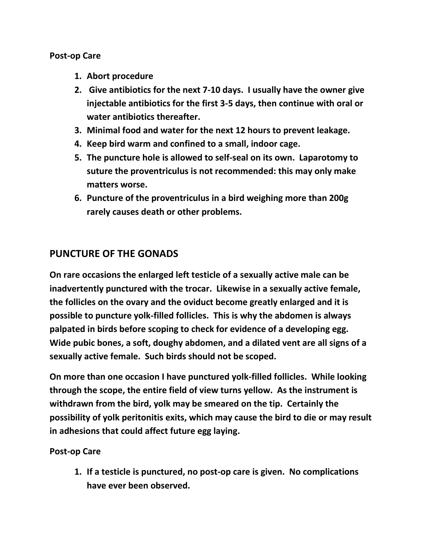#### **Post-op Care**

- **1. Abort procedure**
- **2. Give antibiotics for the next 7-10 days. I usually have the owner give injectable antibiotics for the first 3-5 days, then continue with oral or water antibiotics thereafter.**
- **3. Minimal food and water for the next 12 hours to prevent leakage.**
- **4. Keep bird warm and confined to a small, indoor cage.**
- **5. The puncture hole is allowed to self-seal on its own. Laparotomy to suture the proventriculus is not recommended: this may only make matters worse.**
- **6. Puncture of the proventriculus in a bird weighing more than 200g rarely causes death or other problems.**

# **PUNCTURE OF THE GONADS**

**On rare occasions the enlarged left testicle of a sexually active male can be inadvertently punctured with the trocar. Likewise in a sexually active female, the follicles on the ovary and the oviduct become greatly enlarged and it is possible to puncture yolk-filled follicles. This is why the abdomen is always palpated in birds before scoping to check for evidence of a developing egg. Wide pubic bones, a soft, doughy abdomen, and a dilated vent are all signs of a sexually active female. Such birds should not be scoped.**

**On more than one occasion I have punctured yolk-filled follicles. While looking through the scope, the entire field of view turns yellow. As the instrument is withdrawn from the bird, yolk may be smeared on the tip. Certainly the possibility of yolk peritonitis exits, which may cause the bird to die or may result in adhesions that could affect future egg laying.**

#### **Post-op Care**

**1. If a testicle is punctured, no post-op care is given. No complications have ever been observed.**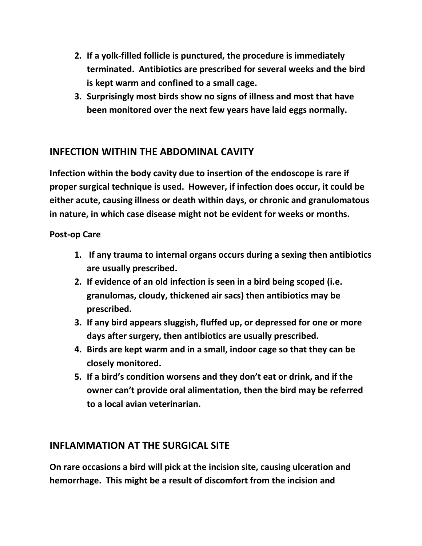- **2. If a yolk-filled follicle is punctured, the procedure is immediately terminated. Antibiotics are prescribed for several weeks and the bird is kept warm and confined to a small cage.**
- **3. Surprisingly most birds show no signs of illness and most that have been monitored over the next few years have laid eggs normally.**

# **INFECTION WITHIN THE ABDOMINAL CAVITY**

**Infection within the body cavity due to insertion of the endoscope is rare if proper surgical technique is used. However, if infection does occur, it could be either acute, causing illness or death within days, or chronic and granulomatous in nature, in which case disease might not be evident for weeks or months.**

#### **Post-op Care**

- **1. If any trauma to internal organs occurs during a sexing then antibiotics are usually prescribed.**
- **2. If evidence of an old infection is seen in a bird being scoped (i.e. granulomas, cloudy, thickened air sacs) then antibiotics may be prescribed.**
- **3. If any bird appears sluggish, fluffed up, or depressed for one or more days after surgery, then antibiotics are usually prescribed.**
- **4. Birds are kept warm and in a small, indoor cage so that they can be closely monitored.**
- **5. If a bird's condition worsens and they don't eat or drink, and if the owner can't provide oral alimentation, then the bird may be referred to a local avian veterinarian.**

# **INFLAMMATION AT THE SURGICAL SITE**

**On rare occasions a bird will pick at the incision site, causing ulceration and hemorrhage. This might be a result of discomfort from the incision and**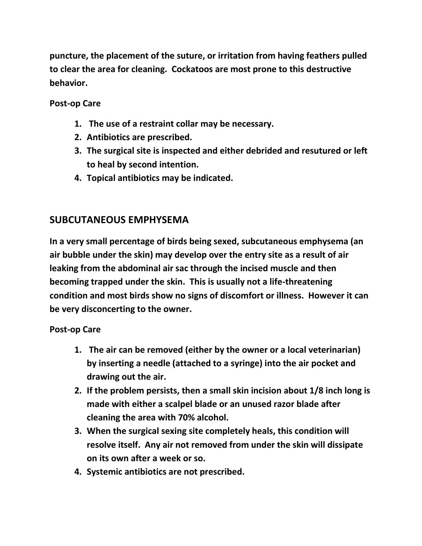**puncture, the placement of the suture, or irritation from having feathers pulled to clear the area for cleaning. Cockatoos are most prone to this destructive behavior.**

### **Post-op Care**

- **1. The use of a restraint collar may be necessary.**
- **2. Antibiotics are prescribed.**
- **3. The surgical site is inspected and either debrided and resutured or left to heal by second intention.**
- **4. Topical antibiotics may be indicated.**

# **SUBCUTANEOUS EMPHYSEMA**

**In a very small percentage of birds being sexed, subcutaneous emphysema (an air bubble under the skin) may develop over the entry site as a result of air leaking from the abdominal air sac through the incised muscle and then becoming trapped under the skin. This is usually not a life-threatening condition and most birds show no signs of discomfort or illness. However it can be very disconcerting to the owner.**

#### **Post-op Care**

- **1. The air can be removed (either by the owner or a local veterinarian) by inserting a needle (attached to a syringe) into the air pocket and drawing out the air.**
- **2. If the problem persists, then a small skin incision about 1/8 inch long is made with either a scalpel blade or an unused razor blade after cleaning the area with 70% alcohol.**
- **3. When the surgical sexing site completely heals, this condition will resolve itself. Any air not removed from under the skin will dissipate on its own after a week or so.**
- **4. Systemic antibiotics are not prescribed.**